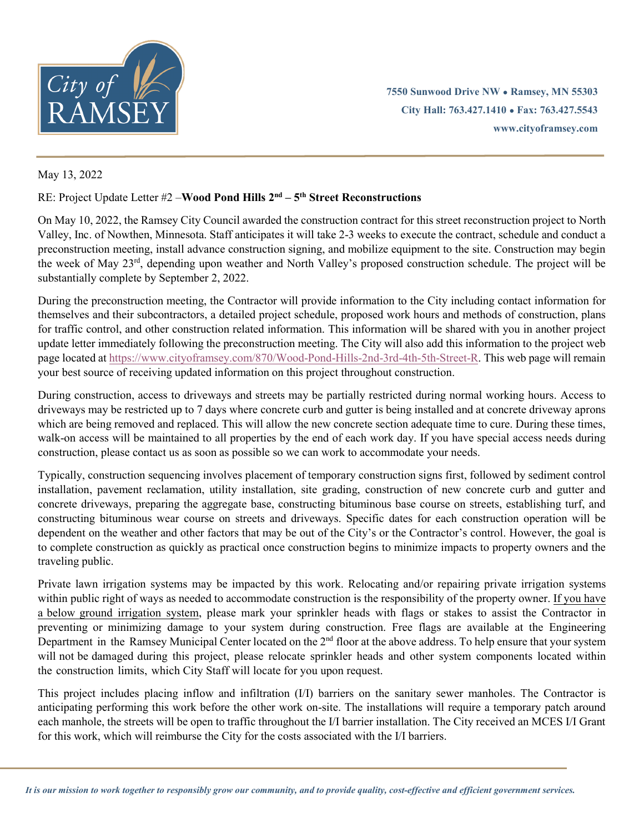

**7550 Sunwood Drive NW ● Ramsey, MN 55303 City Hall: 763.427.1410 ● Fax: 763.427.5543 www.cityoframsey.com**

## May 13, 2022

## RE: Project Update Letter #2 –**Wood Pond Hills 2nd – 5th Street Reconstructions**

On May 10, 2022, the Ramsey City Council awarded the construction contract for this street reconstruction project to North Valley, Inc. of Nowthen, Minnesota. Staff anticipates it will take 2-3 weeks to execute the contract, schedule and conduct a preconstruction meeting, install advance construction signing, and mobilize equipment to the site. Construction may begin the week of May 23rd, depending upon weather and North Valley's proposed construction schedule. The project will be substantially complete by September 2, 2022.

During the preconstruction meeting, the Contractor will provide information to the City including contact information for themselves and their subcontractors, a detailed project schedule, proposed work hours and methods of construction, plans for traffic control, and other construction related information. This information will be shared with you in another project update letter immediately following the preconstruction meeting. The City will also add this information to the project web page located a[t https://www.cityoframsey.com/870/Wood-Pond-Hills-2nd-3rd-4th-5th-Street-R.](https://www.cityoframsey.com/870/Wood-Pond-Hills-2nd-3rd-4th-5th-Street-R) This web page will remain your best source of receiving updated information on this project throughout construction.

During construction, access to driveways and streets may be partially restricted during normal working hours. Access to driveways may be restricted up to 7 days where concrete curb and gutter is being installed and at concrete driveway aprons which are being removed and replaced. This will allow the new concrete section adequate time to cure. During these times, walk-on access will be maintained to all properties by the end of each work day. If you have special access needs during construction, please contact us as soon as possible so we can work to accommodate your needs.

Typically, construction sequencing involves placement of temporary construction signs first, followed by sediment control installation, pavement reclamation, utility installation, site grading, construction of new concrete curb and gutter and concrete driveways, preparing the aggregate base, constructing bituminous base course on streets, establishing turf, and constructing bituminous wear course on streets and driveways. Specific dates for each construction operation will be dependent on the weather and other factors that may be out of the City's or the Contractor's control. However, the goal is to complete construction as quickly as practical once construction begins to minimize impacts to property owners and the traveling public.

Private lawn irrigation systems may be impacted by this work. Relocating and/or repairing private irrigation systems within public right of ways as needed to accommodate construction is the responsibility of the property owner. If you have a below ground irrigation system, please mark your sprinkler heads with flags or stakes to assist the Contractor in preventing or minimizing damage to your system during construction. Free flags are available at the Engineering Department in the Ramsey Municipal Center located on the 2<sup>nd</sup> floor at the above address. To help ensure that your system will not be damaged during this project, please relocate sprinkler heads and other system components located within the construction limits, which City Staff will locate for you upon request.

This project includes placing inflow and infiltration (I/I) barriers on the sanitary sewer manholes. The Contractor is anticipating performing this work before the other work on-site. The installations will require a temporary patch around each manhole, the streets will be open to traffic throughout the I/I barrier installation. The City received an MCES I/I Grant for this work, which will reimburse the City for the costs associated with the I/I barriers.